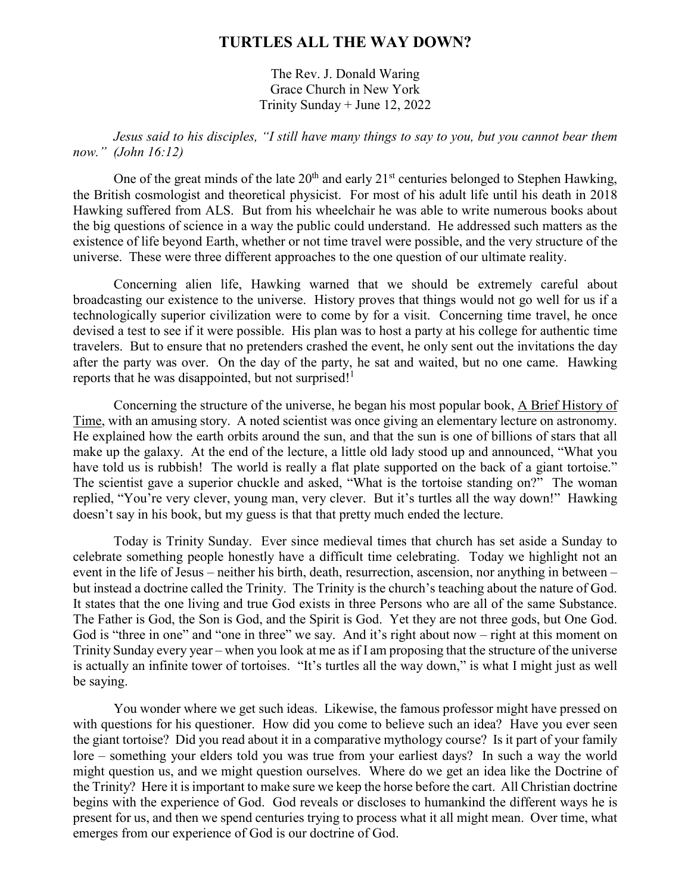## **TURTLES ALL THE WAY DOWN?**

The Rev. J. Donald Waring Grace Church in New York Trinity Sunday + June 12, 2022

*Jesus said to his disciples, "I still have many things to say to you, but you cannot bear them now." (John 16:12)* 

One of the great minds of the late  $20<sup>th</sup>$  and early  $21<sup>st</sup>$  centuries belonged to Stephen Hawking, the British cosmologist and theoretical physicist. For most of his adult life until his death in 2018 Hawking suffered from ALS. But from his wheelchair he was able to write numerous books about the big questions of science in a way the public could understand. He addressed such matters as the existence of life beyond Earth, whether or not time travel were possible, and the very structure of the universe. These were three different approaches to the one question of our ultimate reality.

Concerning alien life, Hawking warned that we should be extremely careful about broadcasting our existence to the universe. History proves that things would not go well for us if a technologically superior civilization were to come by for a visit. Concerning time travel, he once devised a test to see if it were possible. His plan was to host a party at his college for authentic time travelers. But to ensure that no pretenders crashed the event, he only sent out the invitations the day after the party was over. On the day of the party, he sat and waited, but no one came. Hawking reports that he was disappointed, but not surprised!<sup>1</sup>

Concerning the structure of the universe, he began his most popular book, A Brief History of Time, with an amusing story. A noted scientist was once giving an elementary lecture on astronomy. He explained how the earth orbits around the sun, and that the sun is one of billions of stars that all make up the galaxy. At the end of the lecture, a little old lady stood up and announced, "What you have told us is rubbish! The world is really a flat plate supported on the back of a giant tortoise." The scientist gave a superior chuckle and asked, "What is the tortoise standing on?" The woman replied, "You're very clever, young man, very clever. But it's turtles all the way down!" Hawking doesn't say in his book, but my guess is that that pretty much ended the lecture.

Today is Trinity Sunday. Ever since medieval times that church has set aside a Sunday to celebrate something people honestly have a difficult time celebrating. Today we highlight not an event in the life of Jesus – neither his birth, death, resurrection, ascension, nor anything in between – but instead a doctrine called the Trinity. The Trinity is the church's teaching about the nature of God. It states that the one living and true God exists in three Persons who are all of the same Substance. The Father is God, the Son is God, and the Spirit is God. Yet they are not three gods, but One God. God is "three in one" and "one in three" we say. And it's right about now – right at this moment on Trinity Sunday every year – when you look at me as if I am proposing that the structure of the universe is actually an infinite tower of tortoises. "It's turtles all the way down," is what I might just as well be saying.

You wonder where we get such ideas. Likewise, the famous professor might have pressed on with questions for his questioner. How did you come to believe such an idea? Have you ever seen the giant tortoise? Did you read about it in a comparative mythology course? Is it part of your family lore – something your elders told you was true from your earliest days? In such a way the world might question us, and we might question ourselves. Where do we get an idea like the Doctrine of the Trinity? Here it is important to make sure we keep the horse before the cart. All Christian doctrine begins with the experience of God. God reveals or discloses to humankind the different ways he is present for us, and then we spend centuries trying to process what it all might mean. Over time, what emerges from our experience of God is our doctrine of God.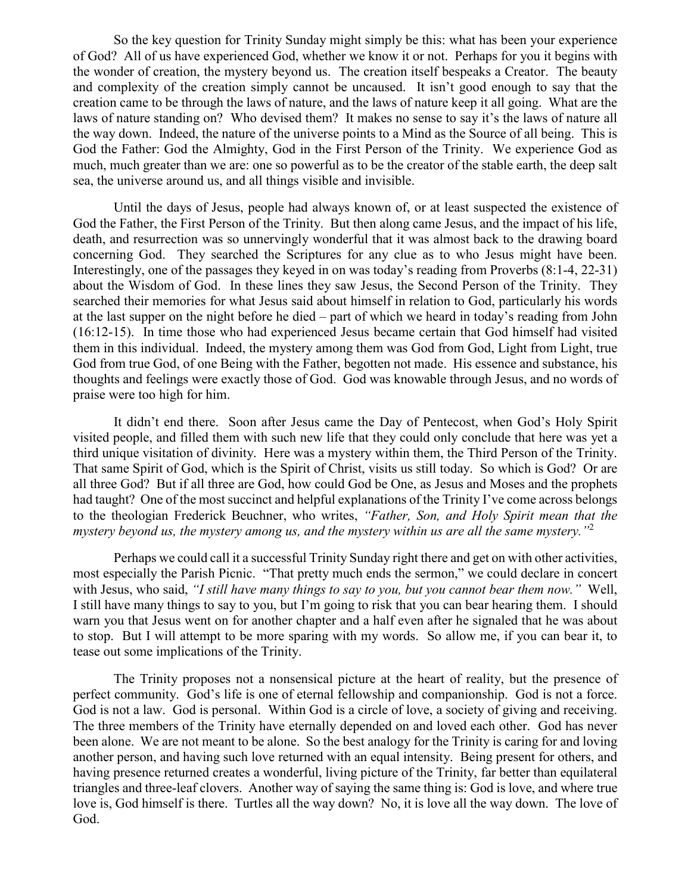So the key question for Trinity Sunday might simply be this: what has been your experience of God? All of us have experienced God, whether we know it or not. Perhaps for you it begins with the wonder of creation, the mystery beyond us. The creation itself bespeaks a Creator. The beauty and complexity of the creation simply cannot be uncaused. It isn't good enough to say that the creation came to be through the laws of nature, and the laws of nature keep it all going. What are the laws of nature standing on? Who devised them? It makes no sense to say it's the laws of nature all the way down. Indeed, the nature of the universe points to a Mind as the Source of all being. This is God the Father: God the Almighty, God in the First Person of the Trinity. We experience God as much, much greater than we are: one so powerful as to be the creator of the stable earth, the deep salt sea, the universe around us, and all things visible and invisible.

Until the days of Jesus, people had always known of, or at least suspected the existence of God the Father, the First Person of the Trinity. But then along came Jesus, and the impact of his life, death, and resurrection was so unnervingly wonderful that it was almost back to the drawing board concerning God. They searched the Scriptures for any clue as to who Jesus might have been. Interestingly, one of the passages they keyed in on was today's reading from Proverbs (8:1-4, 22-31) about the Wisdom of God. In these lines they saw Jesus, the Second Person of the Trinity. They searched their memories for what Jesus said about himself in relation to God, particularly his words at the last supper on the night before he died – part of which we heard in today's reading from John (16:12-15). In time those who had experienced Jesus became certain that God himself had visited them in this individual. Indeed, the mystery among them was God from God, Light from Light, true God from true God, of one Being with the Father, begotten not made. His essence and substance, his thoughts and feelings were exactly those of God. God was knowable through Jesus, and no words of praise were too high for him.

It didn't end there. Soon after Jesus came the Day of Pentecost, when God's Holy Spirit visited people, and filled them with such new life that they could only conclude that here was yet a third unique visitation of divinity. Here was a mystery within them, the Third Person of the Trinity. That same Spirit of God, which is the Spirit of Christ, visits us still today. So which is God? Or are all three God? But if all three are God, how could God be One, as Jesus and Moses and the prophets had taught? One of the most succinct and helpful explanations of the Trinity I've come across belongs to the theologian Frederick Beuchner, who writes, *"Father, Son, and Holy Spirit mean that the*  mystery beyond us, the mystery among us, and the mystery within us are all the same mystery.<sup>"2</sup>

Perhaps we could call it a successful Trinity Sunday right there and get on with other activities, most especially the Parish Picnic. "That pretty much ends the sermon," we could declare in concert with Jesus, who said, *"I still have many things to say to you, but you cannot bear them now."* Well, I still have many things to say to you, but I'm going to risk that you can bear hearing them. I should warn you that Jesus went on for another chapter and a half even after he signaled that he was about to stop. But I will attempt to be more sparing with my words. So allow me, if you can bear it, to tease out some implications of the Trinity.

The Trinity proposes not a nonsensical picture at the heart of reality, but the presence of perfect community. God's life is one of eternal fellowship and companionship. God is not a force. God is not a law. God is personal. Within God is a circle of love, a society of giving and receiving. The three members of the Trinity have eternally depended on and loved each other. God has never been alone. We are not meant to be alone. So the best analogy for the Trinity is caring for and loving another person, and having such love returned with an equal intensity. Being present for others, and having presence returned creates a wonderful, living picture of the Trinity, far better than equilateral triangles and three-leaf clovers. Another way of saying the same thing is: God is love, and where true love is, God himself is there. Turtles all the way down? No, it is love all the way down. The love of God.